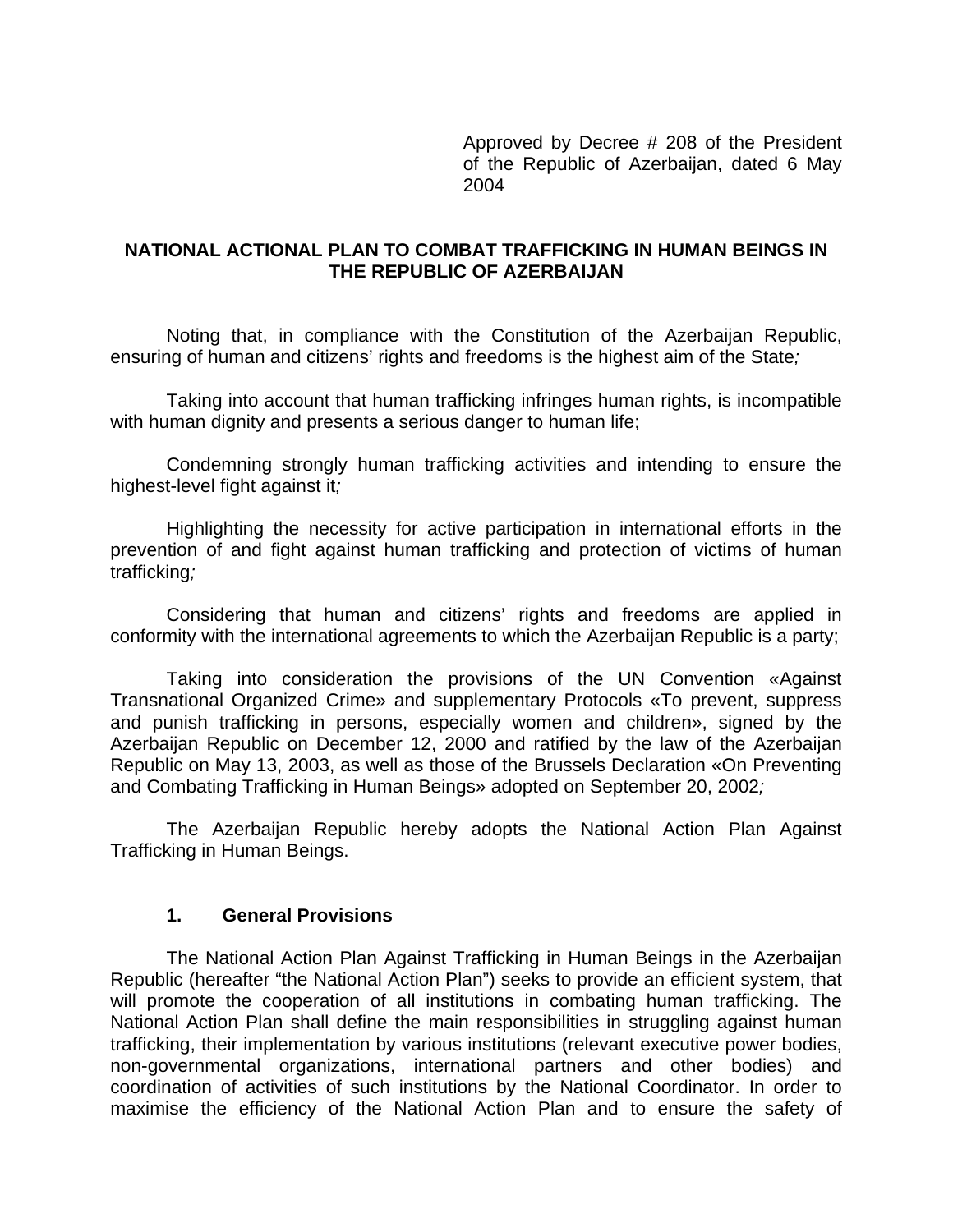Approved by Decree # 208 of the President of the Republic of Azerbaijan, dated 6 May 2004

### **NATIONAL ACTIONAL PLAN TO COMBAT TRAFFICKING IN HUMAN BEINGS IN THE REPUBLIC OF AZERBAIJAN**

Noting that, in compliance with the Constitution of the Azerbaijan Republic, ensuring of human and citizens' rights and freedoms is the highest aim of the State*;*

Taking into account that human trafficking infringes human rights, is incompatible with human dignity and presents a serious danger to human life;

Condemning strongly human trafficking activities and intending to ensure the highest-level fight against it*;* 

Highlighting the necessity for active participation in international efforts in the prevention of and fight against human trafficking and protection of victims of human trafficking*;*

Considering that human and citizens' rights and freedoms are applied in conformity with the international agreements to which the Azerbaijan Republic is a party;

Taking into consideration the provisions of the UN Convention «Against Transnational Organized Crime» and supplementary Protocols «To prevent, suppress and punish trafficking in persons, especially women and children», signed by the Azerbaijan Republic on December 12, 2000 and ratified by the law of the Azerbaijan Republic on May 13, 2003, as well as those of the Brussels Declaration «On Preventing and Combating Trafficking in Human Beings» adopted on September 20, 2002*;* 

The Azerbaijan Republic hereby adopts the National Action Plan Against Trafficking in Human Beings.

### **1. General Provisions**

The National Action Plan Against Trafficking in Human Beings in the Azerbaijan Republic (hereafter "the National Action Plan") seeks to provide an efficient system, that will promote the cooperation of all institutions in combating human trafficking. The National Action Plan shall define the main responsibilities in struggling against human trafficking, their implementation by various institutions (relevant executive power bodies, non-governmental organizations, international partners and other bodies) and coordination of activities of such institutions by the National Coordinator. In order to maximise the efficiency of the National Action Plan and to ensure the safety of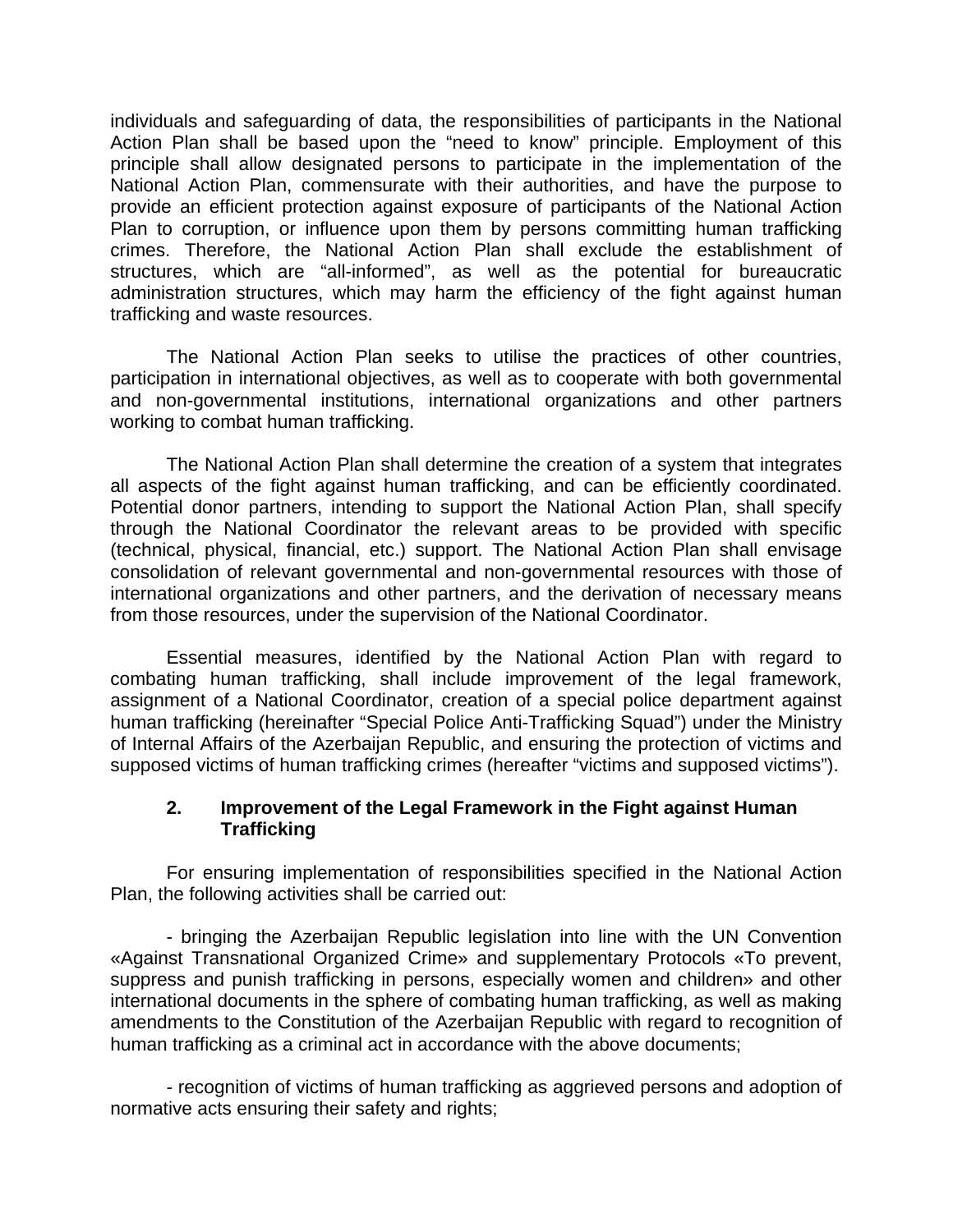individuals and safeguarding of data, the responsibilities of participants in the National Action Plan shall be based upon the "need to know" principle. Employment of this principle shall allow designated persons to participate in the implementation of the National Action Plan, commensurate with their authorities, and have the purpose to provide an efficient protection against exposure of participants of the National Action Plan to corruption, or influence upon them by persons committing human trafficking crimes. Therefore, the National Action Plan shall exclude the establishment of structures, which are "all-informed", as well as the potential for bureaucratic administration structures, which may harm the efficiency of the fight against human trafficking and waste resources.

The National Action Plan seeks to utilise the practices of other countries, participation in international objectives, as well as to cooperate with both governmental and non-governmental institutions, international organizations and other partners working to combat human trafficking.

The National Action Plan shall determine the creation of a system that integrates all aspects of the fight against human trafficking, and can be efficiently coordinated. Potential donor partners, intending to support the National Action Plan, shall specify through the National Coordinator the relevant areas to be provided with specific (technical, physical, financial, etc.) support. The National Action Plan shall envisage consolidation of relevant governmental and non-governmental resources with those of international organizations and other partners, and the derivation of necessary means from those resources, under the supervision of the National Coordinator.

Essential measures, identified by the National Action Plan with regard to combating human trafficking, shall include improvement of the legal framework, assignment of a National Coordinator, creation of a special police department against human trafficking (hereinafter "Special Police Anti-Trafficking Squad") under the Ministry of Internal Affairs of the Azerbaijan Republic, and ensuring the protection of victims and supposed victims of human trafficking crimes (hereafter "victims and supposed victims").

### **2. Improvement of the Legal Framework in the Fight against Human Trafficking**

For ensuring implementation of responsibilities specified in the National Action Plan, the following activities shall be carried out:

- bringing the Azerbaijan Republic legislation into line with the UN Convention «Against Transnational Organized Crime» and supplementary Protocols «To prevent, suppress and punish trafficking in persons, especially women and children» and other international documents in the sphere of combating human trafficking, as well as making amendments to the Constitution of the Azerbaijan Republic with regard to recognition of human trafficking as a criminal act in accordance with the above documents;

- recognition of victims of human trafficking as aggrieved persons and adoption of normative acts ensuring their safety and rights;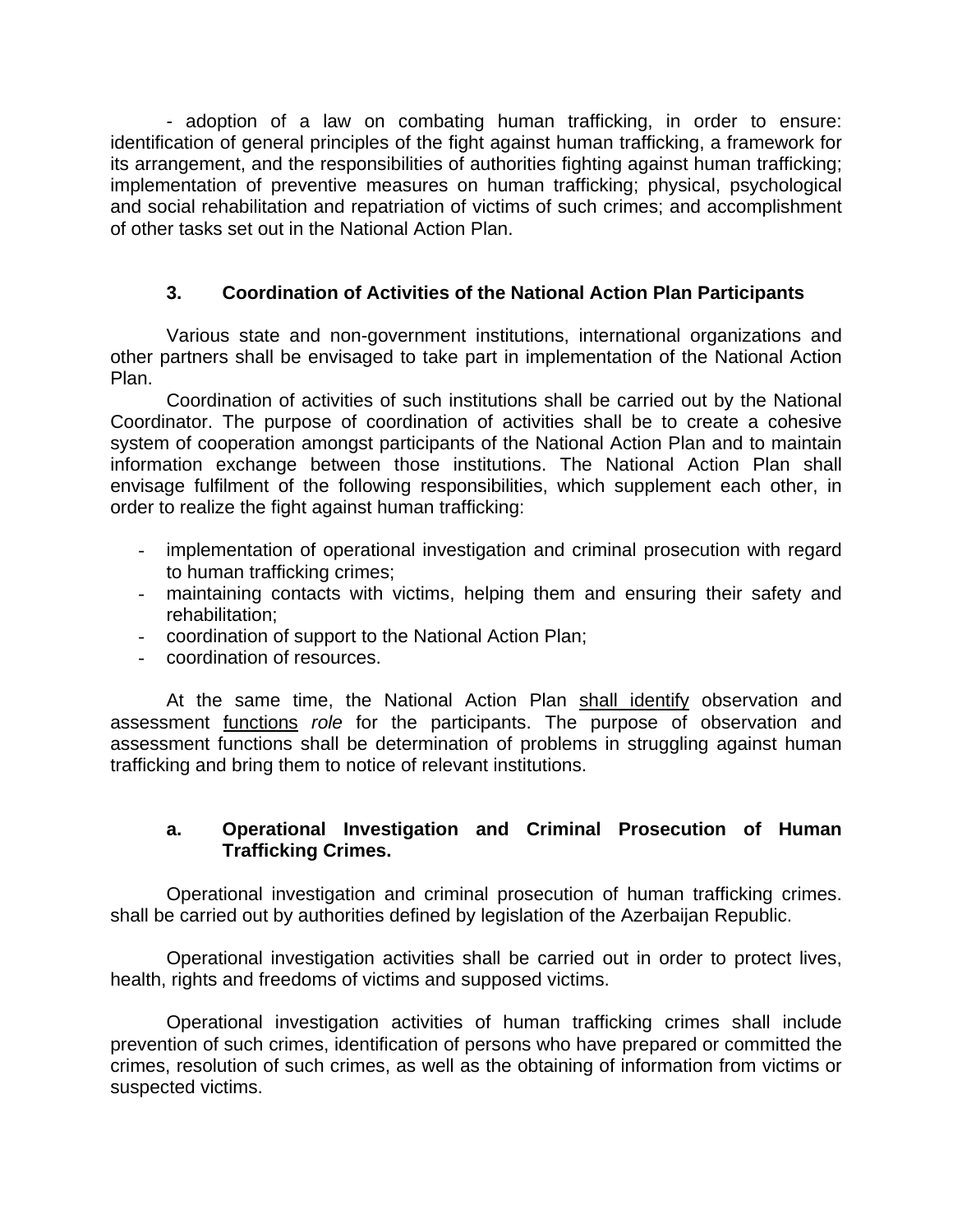- adoption of a law on combating human trafficking, in order to ensure: identification of general principles of the fight against human trafficking, a framework for its arrangement, and the responsibilities of authorities fighting against human trafficking; implementation of preventive measures on human trafficking; physical, psychological and social rehabilitation and repatriation of victims of such crimes; and accomplishment of other tasks set out in the National Action Plan.

## **3. Coordination of Activities of the National Action Plan Participants**

Various state and non-government institutions, international organizations and other partners shall be envisaged to take part in implementation of the National Action Plan.

Coordination of activities of such institutions shall be carried out by the National Coordinator. The purpose of coordination of activities shall be to create a cohesive system of cooperation amongst participants of the National Action Plan and to maintain information exchange between those institutions. The National Action Plan shall envisage fulfilment of the following responsibilities, which supplement each other, in order to realize the fight against human trafficking:

- implementation of operational investigation and criminal prosecution with regard to human trafficking crimes;
- maintaining contacts with victims, helping them and ensuring their safety and rehabilitation;
- coordination of support to the National Action Plan;
- coordination of resources.

At the same time, the National Action Plan shall identify observation and assessment functions *role* for the participants. The purpose of observation and assessment functions shall be determination of problems in struggling against human trafficking and bring them to notice of relevant institutions.

### **a. Operational Investigation and Criminal Prosecution of Human Trafficking Crimes.**

Operational investigation and criminal prosecution of human trafficking crimes. shall be carried out by authorities defined by legislation of the Azerbaijan Republic.

Operational investigation activities shall be carried out in order to protect lives, health, rights and freedoms of victims and supposed victims.

Operational investigation activities of human trafficking crimes shall include prevention of such crimes, identification of persons who have prepared or committed the crimes, resolution of such crimes, as well as the obtaining of information from victims or suspected victims.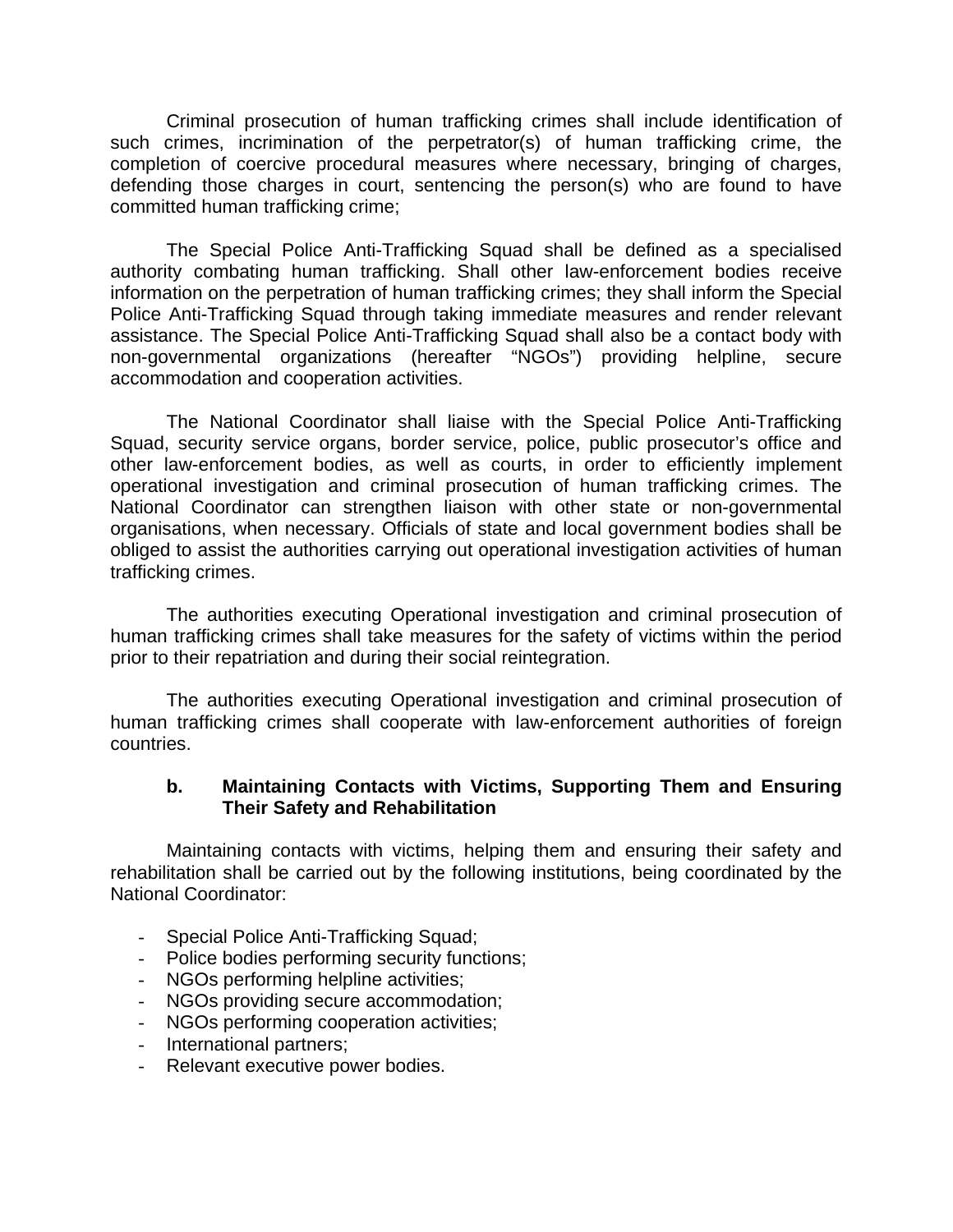Criminal prosecution of human trafficking crimes shall include identification of such crimes, incrimination of the perpetrator(s) of human trafficking crime, the completion of coercive procedural measures where necessary, bringing of charges, defending those charges in court, sentencing the person(s) who are found to have committed human trafficking crime;

The Special Police Anti-Trafficking Squad shall be defined as a specialised authority combating human trafficking. Shall other law-enforcement bodies receive information on the perpetration of human trafficking crimes; they shall inform the Special Police Anti-Trafficking Squad through taking immediate measures and render relevant assistance. The Special Police Anti-Trafficking Squad shall also be a contact body with non-governmental organizations (hereafter "NGOs") providing helpline, secure accommodation and cooperation activities.

The National Coordinator shall liaise with the Special Police Anti-Trafficking Squad, security service organs, border service, police, public prosecutor's office and other law-enforcement bodies, as well as courts, in order to efficiently implement operational investigation and criminal prosecution of human trafficking crimes. The National Coordinator can strengthen liaison with other state or non-governmental organisations, when necessary. Officials of state and local government bodies shall be obliged to assist the authorities carrying out operational investigation activities of human trafficking crimes.

The authorities executing Operational investigation and criminal prosecution of human trafficking crimes shall take measures for the safety of victims within the period prior to their repatriation and during their social reintegration.

The authorities executing Operational investigation and criminal prosecution of human trafficking crimes shall cooperate with law-enforcement authorities of foreign countries.

### **b. Maintaining Contacts with Victims, Supporting Them and Ensuring Their Safety and Rehabilitation**

Maintaining contacts with victims, helping them and ensuring their safety and rehabilitation shall be carried out by the following institutions, being coordinated by the National Coordinator:

- Special Police Anti-Trafficking Squad;
- Police bodies performing security functions;
- NGOs performing helpline activities;
- NGOs providing secure accommodation;
- NGOs performing cooperation activities;
- International partners;
- Relevant executive power bodies.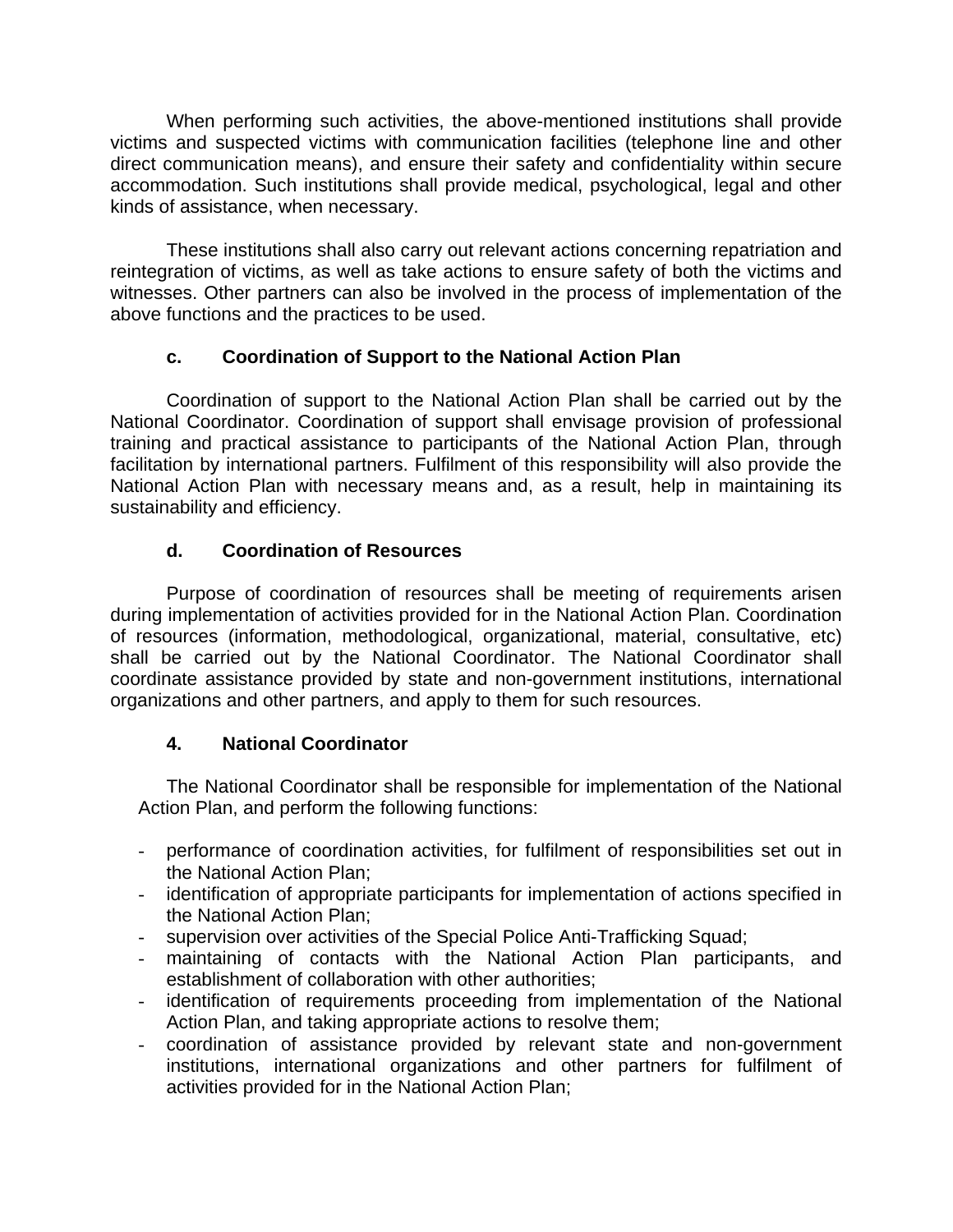When performing such activities, the above-mentioned institutions shall provide victims and suspected victims with communication facilities (telephone line and other direct communication means), and ensure their safety and confidentiality within secure accommodation. Such institutions shall provide medical, psychological, legal and other kinds of assistance, when necessary.

These institutions shall also carry out relevant actions concerning repatriation and reintegration of victims, as well as take actions to ensure safety of both the victims and witnesses. Other partners can also be involved in the process of implementation of the above functions and the practices to be used.

## **c. Coordination of Support to the National Action Plan**

Coordination of support to the National Action Plan shall be carried out by the National Coordinator. Coordination of support shall envisage provision of professional training and practical assistance to participants of the National Action Plan, through facilitation by international partners. Fulfilment of this responsibility will also provide the National Action Plan with necessary means and, as a result, help in maintaining its sustainability and efficiency.

# **d. Coordination of Resources**

Purpose of coordination of resources shall be meeting of requirements arisen during implementation of activities provided for in the National Action Plan. Coordination of resources (information, methodological, organizational, material, consultative, etc) shall be carried out by the National Coordinator. The National Coordinator shall coordinate assistance provided by state and non-government institutions, international organizations and other partners, and apply to them for such resources.

# **4. National Coordinator**

The National Coordinator shall be responsible for implementation of the National Action Plan, and perform the following functions:

- performance of coordination activities, for fulfilment of responsibilities set out in the National Action Plan;
- identification of appropriate participants for implementation of actions specified in the National Action Plan;
- supervision over activities of the Special Police Anti-Trafficking Squad;
- maintaining of contacts with the National Action Plan participants, and establishment of collaboration with other authorities;
- identification of requirements proceeding from implementation of the National Action Plan, and taking appropriate actions to resolve them;
- coordination of assistance provided by relevant state and non-government institutions, international organizations and other partners for fulfilment of activities provided for in the National Action Plan;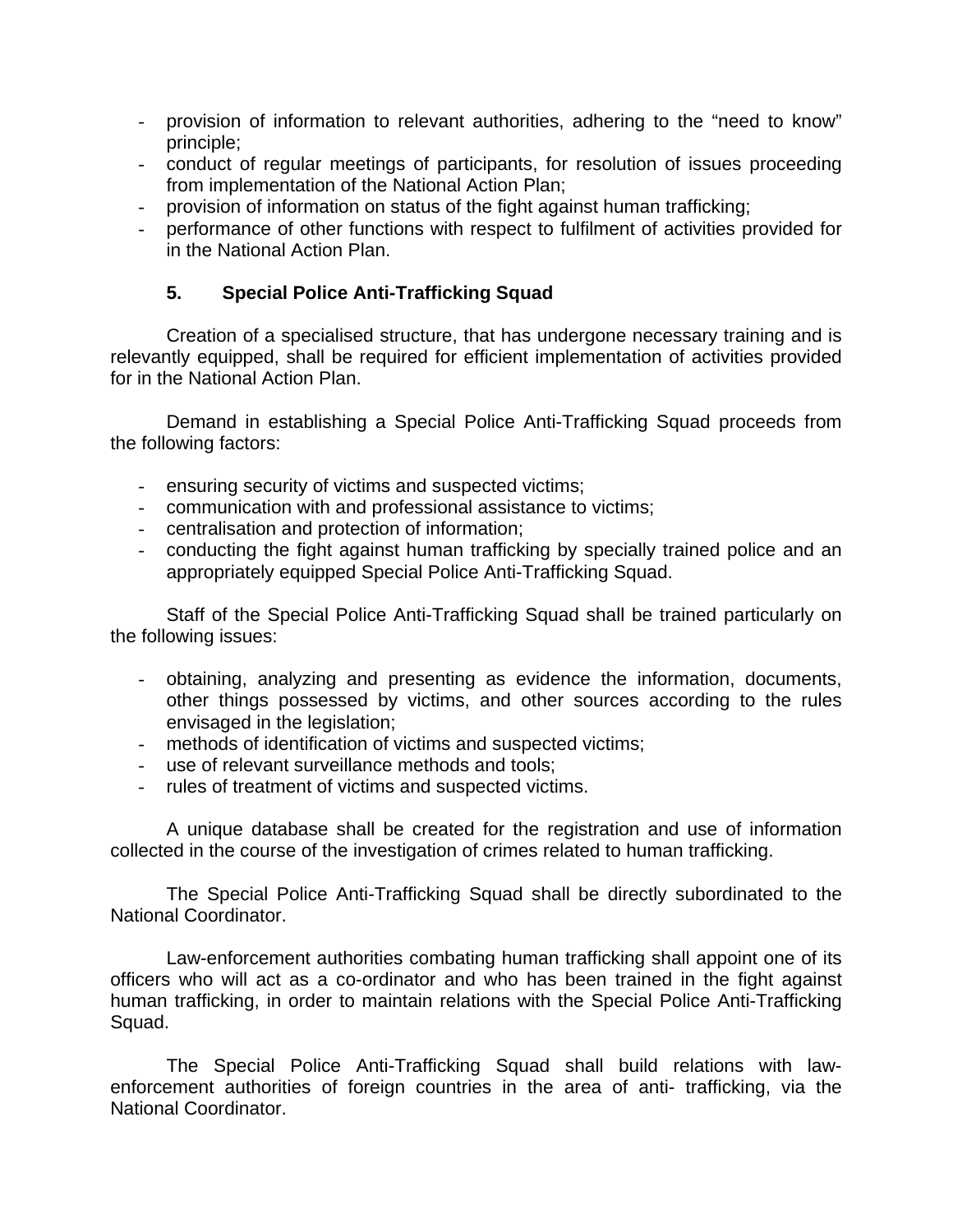- provision of information to relevant authorities, adhering to the "need to know" principle;
- conduct of regular meetings of participants, for resolution of issues proceeding from implementation of the National Action Plan;
- provision of information on status of the fight against human trafficking;
- performance of other functions with respect to fulfilment of activities provided for in the National Action Plan.

## **5. Special Police Anti-Trafficking Squad**

Creation of a specialised structure, that has undergone necessary training and is relevantly equipped, shall be required for efficient implementation of activities provided for in the National Action Plan.

Demand in establishing a Special Police Anti-Trafficking Squad proceeds from the following factors:

- ensuring security of victims and suspected victims;
- communication with and professional assistance to victims;
- centralisation and protection of information;
- conducting the fight against human trafficking by specially trained police and an appropriately equipped Special Police Anti-Trafficking Squad.

Staff of the Special Police Anti-Trafficking Squad shall be trained particularly on the following issues:

- obtaining, analyzing and presenting as evidence the information, documents, other things possessed by victims, and other sources according to the rules envisaged in the legislation;
- methods of identification of victims and suspected victims;
- use of relevant surveillance methods and tools:
- rules of treatment of victims and suspected victims.

A unique database shall be created for the registration and use of information collected in the course of the investigation of crimes related to human trafficking.

The Special Police Anti-Trafficking Squad shall be directly subordinated to the National Coordinator.

Law-enforcement authorities combating human trafficking shall appoint one of its officers who will act as a co-ordinator and who has been trained in the fight against human trafficking, in order to maintain relations with the Special Police Anti-Trafficking Squad.

The Special Police Anti-Trafficking Squad shall build relations with lawenforcement authorities of foreign countries in the area of anti- trafficking, via the National Coordinator.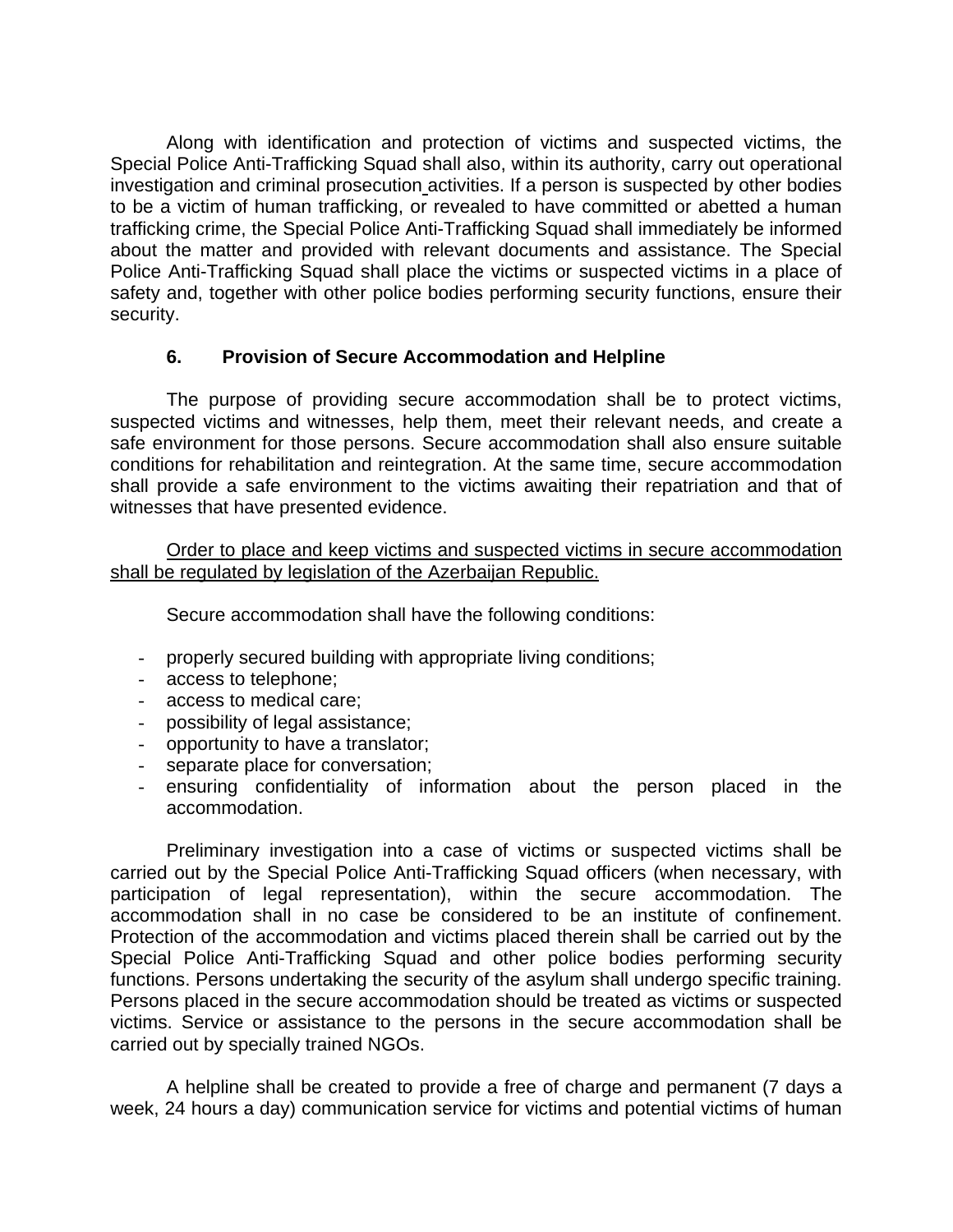Along with identification and protection of victims and suspected victims, the Special Police Anti-Trafficking Squad shall also, within its authority, carry out operational investigation and criminal prosecution activities. If a person is suspected by other bodies to be a victim of human trafficking, or revealed to have committed or abetted a human trafficking crime, the Special Police Anti-Trafficking Squad shall immediately be informed about the matter and provided with relevant documents and assistance. The Special Police Anti-Trafficking Squad shall place the victims or suspected victims in a place of safety and, together with other police bodies performing security functions, ensure their security.

### **6. Provision of Secure Accommodation and Helpline**

The purpose of providing secure accommodation shall be to protect victims, suspected victims and witnesses, help them, meet their relevant needs, and create a safe environment for those persons. Secure accommodation shall also ensure suitable conditions for rehabilitation and reintegration. At the same time, secure accommodation shall provide a safe environment to the victims awaiting their repatriation and that of witnesses that have presented evidence.

Order to place and keep victims and suspected victims in secure accommodation shall be regulated by legislation of the Azerbaijan Republic.

Secure accommodation shall have the following conditions:

- properly secured building with appropriate living conditions;
- access to telephone;
- access to medical care;
- possibility of legal assistance;
- opportunity to have a translator;
- separate place for conversation;
- ensuring confidentiality of information about the person placed in the accommodation.

Preliminary investigation into a case of victims or suspected victims shall be carried out by the Special Police Anti-Trafficking Squad officers (when necessary, with participation of legal representation), within the secure accommodation. The accommodation shall in no case be considered to be an institute of confinement. Protection of the accommodation and victims placed therein shall be carried out by the Special Police Anti-Trafficking Squad and other police bodies performing security functions. Persons undertaking the security of the asylum shall undergo specific training. Persons placed in the secure accommodation should be treated as victims or suspected victims. Service or assistance to the persons in the secure accommodation shall be carried out by specially trained NGOs.

A helpline shall be created to provide a free of charge and permanent (7 days a week, 24 hours a day) communication service for victims and potential victims of human